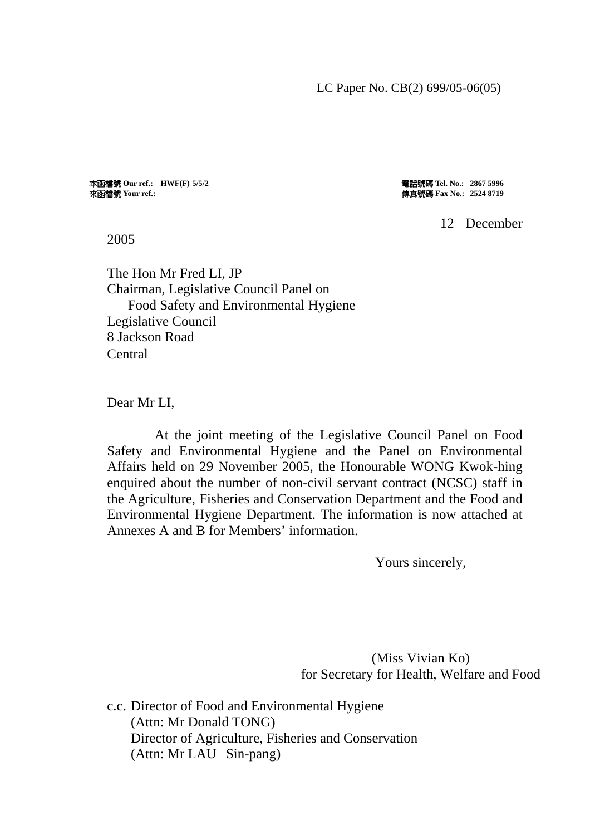#### LC Paper No. CB(2) 699/05-06(05)

來函檔號 **Your ref.:** 傳真號碼 **Fax No.: 2524 8719** 

本函檔號 **Our ref.: HWF(F) 5/5/2** 電話號碼 **Tel. No.: 2867 5996** 

12 December

2005

The Hon Mr Fred LI, JP Chairman, Legislative Council Panel on Food Safety and Environmental Hygiene Legislative Council 8 Jackson Road **Central** 

Dear Mr LI,

 At the joint meeting of the Legislative Council Panel on Food Safety and Environmental Hygiene and the Panel on Environmental Affairs held on 29 November 2005, the Honourable WONG Kwok-hing enquired about the number of non-civil servant contract (NCSC) staff in the Agriculture, Fisheries and Conservation Department and the Food and Environmental Hygiene Department. The information is now attached at Annexes A and B for Members' information.

Yours sincerely,

(Miss Vivian Ko) for Secretary for Health, Welfare and Food

c.c. Director of Food and Environmental Hygiene (Attn: Mr Donald TONG) Director of Agriculture, Fisheries and Conservation (Attn: Mr LAU Sin-pang)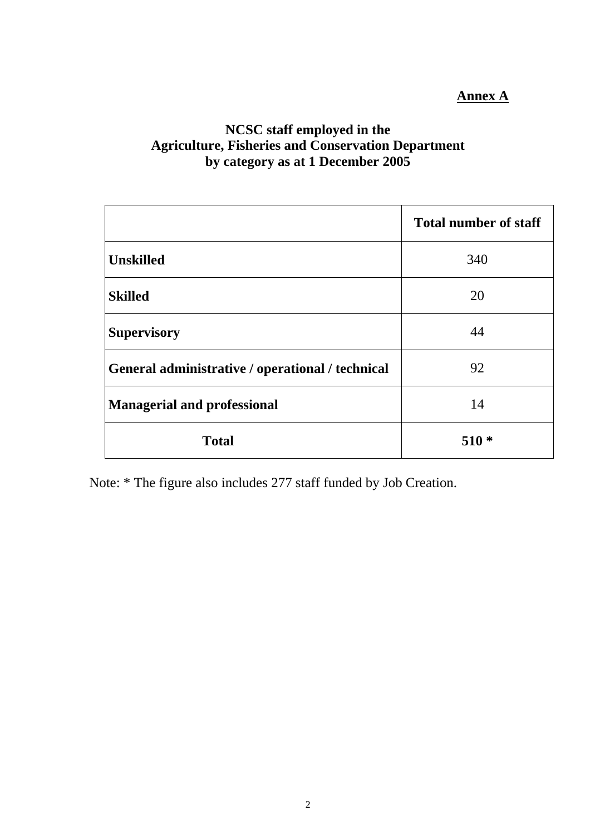# **Annex A**

# **NCSC staff employed in the Agriculture, Fisheries and Conservation Department by category as at 1 December 2005**

|                                                  | <b>Total number of staff</b> |
|--------------------------------------------------|------------------------------|
| <b>Unskilled</b>                                 | 340                          |
| <b>Skilled</b>                                   | 20                           |
| <b>Supervisory</b>                               | 44                           |
| General administrative / operational / technical | 92                           |
| <b>Managerial and professional</b>               | 14                           |
| <b>Total</b>                                     | $510*$                       |

Note: \* The figure also includes 277 staff funded by Job Creation.